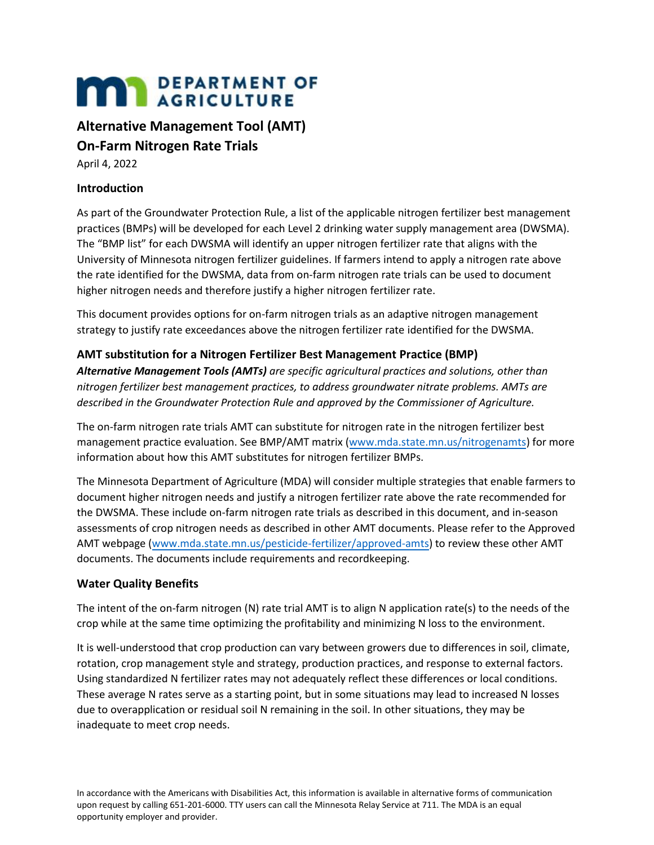# **MAN** DEPARTMENT OF

# **Alternative Management Tool (AMT)**

# **On-Farm Nitrogen Rate Trials**

April 4, 2022

## **Introduction**

As part of the Groundwater Protection Rule, a list of the applicable nitrogen fertilizer best management practices (BMPs) will be developed for each Level 2 drinking water supply management area (DWSMA). The "BMP list" for each DWSMA will identify an upper nitrogen fertilizer rate that aligns with the University of Minnesota nitrogen fertilizer guidelines. If farmers intend to apply a nitrogen rate above the rate identified for the DWSMA, data from on-farm nitrogen rate trials can be used to document higher nitrogen needs and therefore justify a higher nitrogen fertilizer rate.

This document provides options for on-farm nitrogen trials as an adaptive nitrogen management strategy to justify rate exceedances above the nitrogen fertilizer rate identified for the DWSMA.

## **AMT substitution for a Nitrogen Fertilizer Best Management Practice (BMP)**

*Alternative Management Tools (AMTs) are specific agricultural practices and solutions, other than nitrogen fertilizer best management practices, to address groundwater nitrate problems. AMTs are described in the Groundwater Protection Rule and approved by the Commissioner of Agriculture.* 

The on-farm nitrogen rate trials AMT can substitute for nitrogen rate in the nitrogen fertilizer best management practice evaluation. See BMP/AMT matrix [\(www.mda.state.mn.us/nitrogenamts\)](https://www.mda.state.mn.us/nitrogenamts) for more information about how this AMT substitutes for nitrogen fertilizer BMPs.

The Minnesota Department of Agriculture (MDA) will consider multiple strategies that enable farmers to document higher nitrogen needs and justify a nitrogen fertilizer rate above the rate recommended for the DWSMA. These include on-farm nitrogen rate trials as described in this document, and in-season assessments of crop nitrogen needs as described in other AMT documents. Please refer to the Approved AMT webpage [\(www.mda.state.mn.us/pesticide-fertilizer/approved-amts\)](https://www.mda.state.mn.us/pesticide-fertilizer/approved-amts) to review these other AMT documents. The documents include requirements and recordkeeping.

## **Water Quality Benefits**

The intent of the on-farm nitrogen (N) rate trial AMT is to align N application rate(s) to the needs of the crop while at the same time optimizing the profitability and minimizing N loss to the environment.

It is well-understood that crop production can vary between growers due to differences in soil, climate, rotation, crop management style and strategy, production practices, and response to external factors. Using standardized N fertilizer rates may not adequately reflect these differences or local conditions. These average N rates serve as a starting point, but in some situations may lead to increased N losses due to overapplication or residual soil N remaining in the soil. In other situations, they may be inadequate to meet crop needs.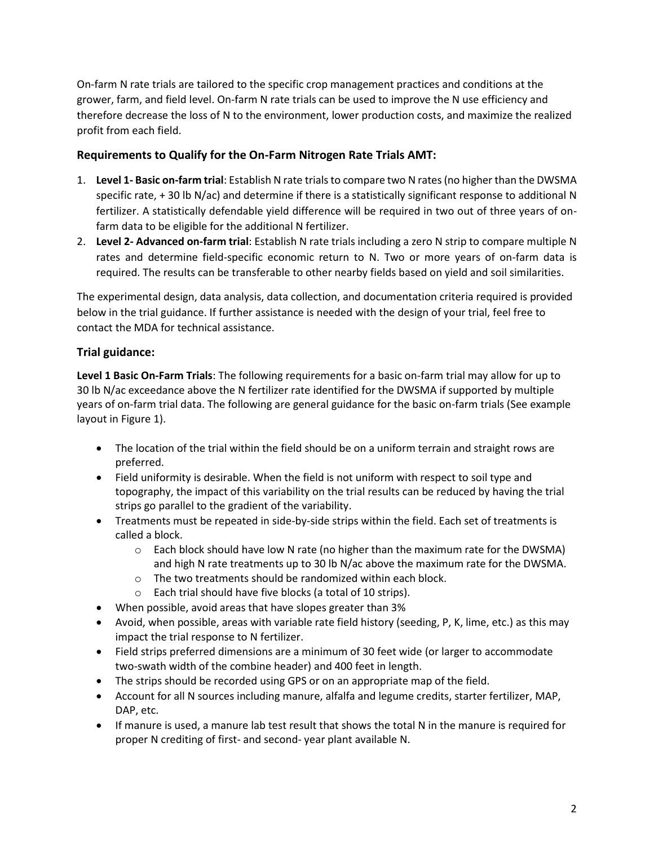On-farm N rate trials are tailored to the specific crop management practices and conditions at the grower, farm, and field level. On-farm N rate trials can be used to improve the N use efficiency and therefore decrease the loss of N to the environment, lower production costs, and maximize the realized profit from each field.

#### **Requirements to Qualify for the On-Farm Nitrogen Rate Trials AMT:**

- 1. **Level 1- Basic on-farm trial**: Establish N rate trials to compare two N rates (no higher than the DWSMA specific rate, + 30 lb N/ac) and determine if there is a statistically significant response to additional N fertilizer. A statistically defendable yield difference will be required in two out of three years of onfarm data to be eligible for the additional N fertilizer.
- 2. **Level 2- Advanced on-farm trial**: Establish N rate trials including a zero N strip to compare multiple N rates and determine field-specific economic return to N. Two or more years of on-farm data is required. The results can be transferable to other nearby fields based on yield and soil similarities.

The experimental design, data analysis, data collection, and documentation criteria required is provided below in the trial guidance. If further assistance is needed with the design of your trial, feel free to contact the MDA for technical assistance.

## **Trial guidance:**

**Level 1 Basic On-Farm Trials**: The following requirements for a basic on-farm trial may allow for up to 30 lb N/ac exceedance above the N fertilizer rate identified for the DWSMA if supported by multiple years of on-farm trial data. The following are general guidance for the basic on-farm trials (See example layout in Figure 1).

- The location of the trial within the field should be on a uniform terrain and straight rows are preferred.
- Field uniformity is desirable. When the field is not uniform with respect to soil type and topography, the impact of this variability on the trial results can be reduced by having the trial strips go parallel to the gradient of the variability.
- Treatments must be repeated in side-by-side strips within the field. Each set of treatments is called a block.
	- $\circ$  Each block should have low N rate (no higher than the maximum rate for the DWSMA) and high N rate treatments up to 30 lb N/ac above the maximum rate for the DWSMA.
	- o The two treatments should be randomized within each block.
	- o Each trial should have five blocks (a total of 10 strips).
- When possible, avoid areas that have slopes greater than 3%
- Avoid, when possible, areas with variable rate field history (seeding, P, K, lime, etc.) as this may impact the trial response to N fertilizer.
- Field strips preferred dimensions are a minimum of 30 feet wide (or larger to accommodate two-swath width of the combine header) and 400 feet in length.
- The strips should be recorded using GPS or on an appropriate map of the field.
- Account for all N sources including manure, alfalfa and legume credits, starter fertilizer, MAP, DAP, etc.
- If manure is used, a manure lab test result that shows the total N in the manure is required for proper N crediting of first- and second- year plant available N.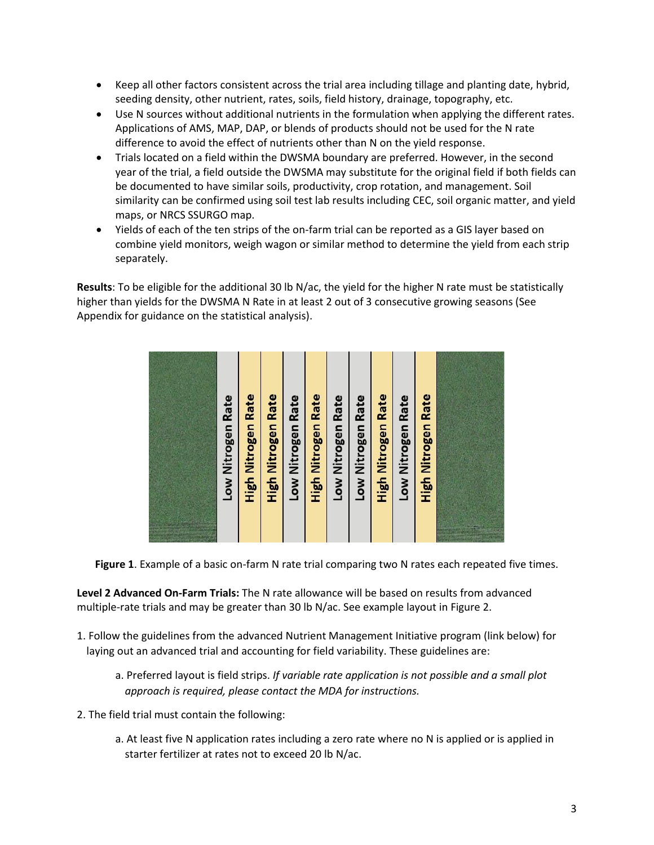- Keep all other factors consistent across the trial area including tillage and planting date, hybrid, seeding density, other nutrient, rates, soils, field history, drainage, topography, etc.
- Use N sources without additional nutrients in the formulation when applying the different rates. Applications of AMS, MAP, DAP, or blends of products should not be used for the N rate difference to avoid the effect of nutrients other than N on the yield response.
- Trials located on a field within the DWSMA boundary are preferred. However, in the second year of the trial, a field outside the DWSMA may substitute for the original field if both fields can be documented to have similar soils, productivity, crop rotation, and management. Soil similarity can be confirmed using soil test lab results including CEC, soil organic matter, and yield maps, or NRCS SSURGO map.
- Yields of each of the ten strips of the on-farm trial can be reported as a GIS layer based on combine yield monitors, weigh wagon or similar method to determine the yield from each strip separately.

**Results**: To be eligible for the additional 30 lb N/ac, the yield for the higher N rate must be statistically higher than yields for the DWSMA N Rate in at least 2 out of 3 consecutive growing seasons (See Appendix for guidance on the statistical analysis).



**Figure 1**. Example of a basic on-farm N rate trial comparing two N rates each repeated five times.

**Level 2 Advanced On-Farm Trials:** The N rate allowance will be based on results from advanced multiple-rate trials and may be greater than 30 lb N/ac. See example layout in Figure 2.

- 1. Follow the guidelines from the advanced Nutrient Management Initiative program (link below) for laying out an advanced trial and accounting for field variability. These guidelines are:
	- a. Preferred layout is field strips. *If variable rate application is not possible and a small plot approach is required, please contact the MDA for instructions.*
- 2. The field trial must contain the following:
	- a. At least five N application rates including a zero rate where no N is applied or is applied in starter fertilizer at rates not to exceed 20 lb N/ac.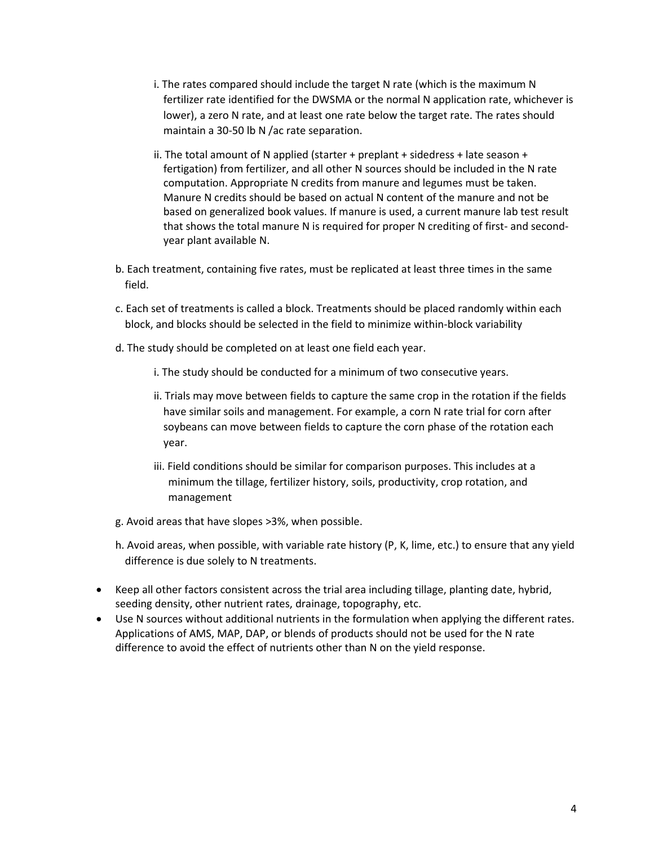- i. The rates compared should include the target N rate (which is the maximum N fertilizer rate identified for the DWSMA or the normal N application rate, whichever is lower), a zero N rate, and at least one rate below the target rate. The rates should maintain a 30-50 lb N /ac rate separation.
- ii. The total amount of N applied (starter  $+$  preplant  $+$  sidedress  $+$  late season  $+$ fertigation) from fertilizer, and all other N sources should be included in the N rate computation. Appropriate N credits from manure and legumes must be taken. Manure N credits should be based on actual N content of the manure and not be based on generalized book values. If manure is used, a current manure lab test result that shows the total manure N is required for proper N crediting of first- and secondyear plant available N.
- b. Each treatment, containing five rates, must be replicated at least three times in the same field.
- c. Each set of treatments is called a block. Treatments should be placed randomly within each block, and blocks should be selected in the field to minimize within-block variability
- d. The study should be completed on at least one field each year.
	- i. The study should be conducted for a minimum of two consecutive years.
	- ii. Trials may move between fields to capture the same crop in the rotation if the fields have similar soils and management. For example, a corn N rate trial for corn after soybeans can move between fields to capture the corn phase of the rotation each year.
	- iii. Field conditions should be similar for comparison purposes. This includes at a minimum the tillage, fertilizer history, soils, productivity, crop rotation, and management
- g. Avoid areas that have slopes >3%, when possible.
- h. Avoid areas, when possible, with variable rate history (P, K, lime, etc.) to ensure that any yield difference is due solely to N treatments.
- Keep all other factors consistent across the trial area including tillage, planting date, hybrid, seeding density, other nutrient rates, drainage, topography, etc.
- Use N sources without additional nutrients in the formulation when applying the different rates. Applications of AMS, MAP, DAP, or blends of products should not be used for the N rate difference to avoid the effect of nutrients other than N on the yield response.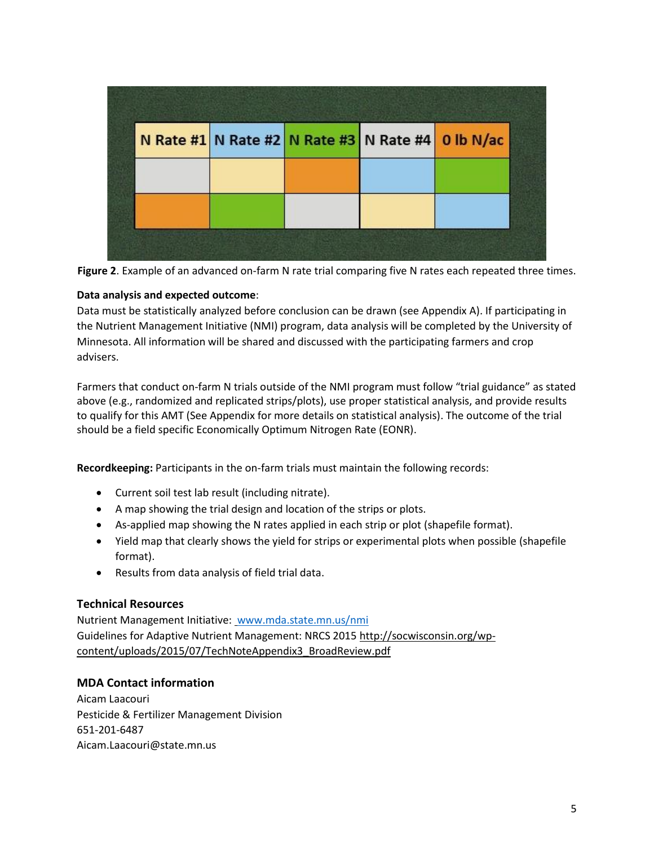|  | N Rate #1 N Rate #2 N Rate #3 N Rate #4 0 lb N/ac |  |
|--|---------------------------------------------------|--|
|  |                                                   |  |
|  |                                                   |  |
|  |                                                   |  |

**Figure 2**. Example of an advanced on-farm N rate trial comparing five N rates each repeated three times.

#### **Data analysis and expected outcome**:

Data must be statistically analyzed before conclusion can be drawn (see Appendix A). If participating in the Nutrient Management Initiative (NMI) program, data analysis will be completed by the University of Minnesota. All information will be shared and discussed with the participating farmers and crop advisers.

Farmers that conduct on-farm N trials outside of the NMI program must follow "trial guidance" as stated above (e.g., randomized and replicated strips/plots), use proper statistical analysis, and provide results to qualify for this AMT (See Appendix for more details on statistical analysis). The outcome of the trial should be a field specific Economically Optimum Nitrogen Rate (EONR).

**Recordkeeping:** Participants in the on-farm trials must maintain the following records:

- Current soil test lab result (including nitrate).
- A map showing the trial design and location of the strips or plots.
- As-applied map showing the N rates applied in each strip or plot (shapefile format).
- Yield map that clearly shows the yield for strips or experimental plots when possible (shapefile format).
- Results from data analysis of field trial data.

#### **Technical Resources**

Nutrient Management Initiative: [www.mda.state.mn.us/nmi](https://www.mda.state.mn.us/nmi) Guidelines for Adaptive Nutrient Management: NRCS 201[5 http://socwisconsin.org/wp](http://socwisconsin.org/wp-content/uploads/2015/07/TechNoteAppendix3_BroadReview.pdf)[content/uploads/2015/07/TechNoteAppendix3\\_BroadReview.pdf](http://socwisconsin.org/wp-content/uploads/2015/07/TechNoteAppendix3_BroadReview.pdf)

#### **MDA Contact information**

Aicam Laacouri Pesticide & Fertilizer Management Division 651-201-6487 Aicam.Laacouri@state.mn.us